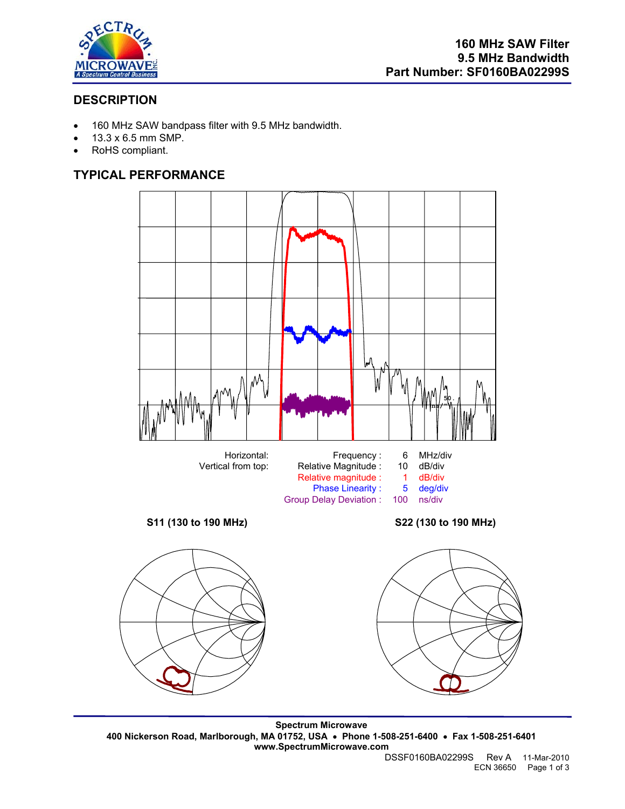

# **DESCRIPTION**

- 160 MHz SAW bandpass filter with 9.5 MHz bandwidth.
- 13.3 x 6.5 mm SMP.
- RoHS compliant.

# **TYPICAL PERFORMANCE**



**Spectrum Microwave 400 Nickerson Road, Marlborough, MA 01752, USA** • **Phone 1-508-251-6400** • **Fax 1-508-251-6401 www.SpectrumMicrowave.com**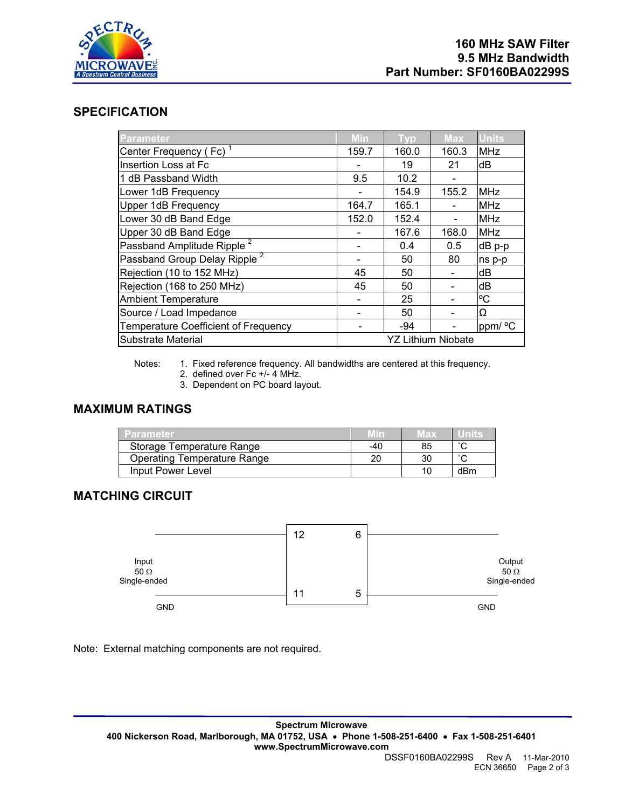

### **SPECIFICATION**

| <b>Parameter</b>                         | Min                       | <b>Typ</b> | Max   | <b>Units</b> |
|------------------------------------------|---------------------------|------------|-------|--------------|
| Center Frequency (Fc) <sup>1</sup>       | 159.7                     | 160.0      | 160.3 | <b>MHz</b>   |
| Insertion Loss at Fc                     |                           | 19         | 21    | dB           |
| 1 dB Passband Width                      | 9.5                       | 10.2       |       |              |
| Lower 1dB Frequency                      |                           | 154.9      | 155.2 | <b>MHz</b>   |
| <b>Upper 1dB Frequency</b>               | 164.7                     | 165.1      |       | <b>MHz</b>   |
| Lower 30 dB Band Edge                    | 152.0                     | 152.4      |       | <b>MHz</b>   |
| Upper 30 dB Band Edge                    |                           | 167.6      | 168.0 | <b>MHz</b>   |
| Passband Amplitude Ripple <sup>2</sup>   |                           | 0.4        | 0.5   | dB p-p       |
| Passband Group Delay Ripple <sup>2</sup> |                           | 50         | 80    | ns p-p       |
| Rejection (10 to 152 MHz)                | 45                        | 50         |       | dB           |
| Rejection (168 to 250 MHz)               | 45                        | 50         |       | dB           |
| <b>Ambient Temperature</b>               |                           | 25         |       | °С           |
| Source / Load Impedance                  |                           | 50         |       | Ω            |
| Temperature Coefficient of Frequency     |                           | $-94$      |       | ppm/ °C      |
| Substrate Material                       | <b>YZ Lithium Niobate</b> |            |       |              |

Notes: 1. Fixed reference frequency. All bandwidths are centered at this frequency.

- 2. defined over Fc +/- 4 MHz.
- 3. Dependent on PC board layout.

#### **MAXIMUM RATINGS**

| Parameter.                  | MIN   | тах |        |
|-----------------------------|-------|-----|--------|
| Storage Temperature Range   | $-40$ | 85  | $\sim$ |
| Operating Temperature Range |       | 30  | $\sim$ |
| Input Power Level           |       | 10  | dBm    |

# **MATCHING CIRCUIT**



Note: External matching components are not required.